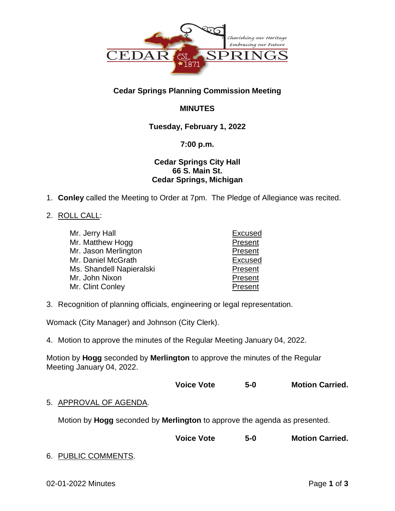

# **Cedar Springs Planning Commission Meeting**

# **MINUTES**

## **Tuesday, February 1, 2022**

## **7:00 p.m.**

## **Cedar Springs City Hall 66 S. Main St. Cedar Springs, Michigan**

1. **Conley** called the Meeting to Order at 7pm. The Pledge of Allegiance was recited.

## 2. ROLL CALL:

| Mr. Jerry Hall           | <b>Excused</b> |
|--------------------------|----------------|
| Mr. Matthew Hogg         | Present        |
| Mr. Jason Merlington     | Present        |
| Mr. Daniel McGrath       | <b>Excused</b> |
| Ms. Shandell Napieralski | Present        |
| Mr. John Nixon           | Present        |
| Mr. Clint Conley         | Present        |

3. Recognition of planning officials, engineering or legal representation.

Womack (City Manager) and Johnson (City Clerk).

4. Motion to approve the minutes of the Regular Meeting January 04, 2022.

Motion by **Hogg** seconded by **Merlington** to approve the minutes of the Regular Meeting January 04, 2022.

| <b>Voice Vote</b> | $5 - 0$ | <b>Motion Carried.</b> |
|-------------------|---------|------------------------|
|-------------------|---------|------------------------|

## 5. APPROVAL OF AGENDA.

Motion by **Hogg** seconded by **Merlington** to approve the agenda as presented.

**Voice Vote 5-0 Motion Carried.**

## 6. PUBLIC COMMENTS.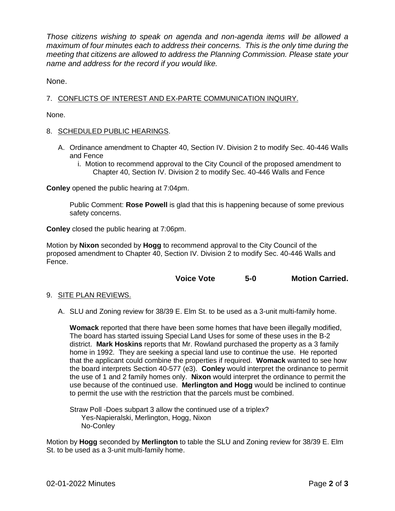*Those citizens wishing to speak on agenda and non-agenda items will be allowed a maximum of four minutes each to address their concerns. This is the only time during the meeting that citizens are allowed to address the Planning Commission. Please state your name and address for the record if you would like.*

None.

## 7. CONFLICTS OF INTEREST AND EX-PARTE COMMUNICATION INQUIRY.

None.

#### 8. SCHEDULED PUBLIC HEARINGS.

- A. Ordinance amendment to Chapter 40, Section IV. Division 2 to modify Sec. 40-446 Walls and Fence
	- i. Motion to recommend approval to the City Council of the proposed amendment to Chapter 40, Section IV. Division 2 to modify Sec. 40-446 Walls and Fence

**Conley** opened the public hearing at 7:04pm.

Public Comment: **Rose Powell** is glad that this is happening because of some previous safety concerns.

**Conley** closed the public hearing at 7:06pm.

Motion by **Nixon** seconded by **Hogg** to recommend approval to the City Council of the proposed amendment to Chapter 40, Section IV. Division 2 to modify Sec. 40-446 Walls and Fence.

|  | <b>Voice Vote</b> | $5 - 0$ |  | <b>Motion Carried.</b> |
|--|-------------------|---------|--|------------------------|
|--|-------------------|---------|--|------------------------|

- 9. SITE PLAN REVIEWS.
	- A. SLU and Zoning review for 38/39 E. Elm St. to be used as a 3-unit multi-family home.

**Womack** reported that there have been some homes that have been illegally modified, The board has started issuing Special Land Uses for some of these uses in the B-2 district. **Mark Hoskins** reports that Mr. Rowland purchased the property as a 3 family home in 1992. They are seeking a special land use to continue the use. He reported that the applicant could combine the properties if required. **Womack** wanted to see how the board interprets Section 40-577 (e3). **Conley** would interpret the ordinance to permit the use of 1 and 2 family homes only. **Nixon** would interpret the ordinance to permit the use because of the continued use. **Merlington and Hogg** would be inclined to continue to permit the use with the restriction that the parcels must be combined.

Straw Poll -Does subpart 3 allow the continued use of a triplex? Yes-Napieralski, Merlington, Hogg, Nixon No-Conley

Motion by **Hogg** seconded by **Merlington** to table the SLU and Zoning review for 38/39 E. Elm St. to be used as a 3-unit multi-family home.